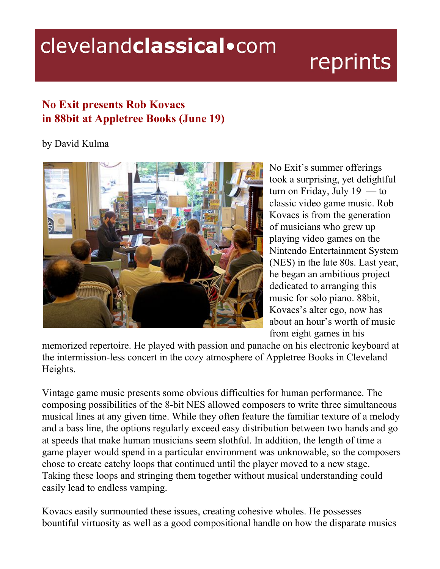## clevelandclassical.com

## reprints

## **No Exit presents Rob Kovacs in 88bit at Appletree Books (June 19)**

## by David Kulma



No Exit's summer offerings took a surprising, yet delightful turn on Friday, July  $19 -$ to classic video game music. Rob Kovacs is from the generation of musicians who grew up playing video games on the Nintendo Entertainment System (NES) in the late 80s. Last year, he began an ambitious project dedicated to arranging this music for solo piano. 88bit, Kovacs's alter ego, now has about an hour's worth of music from eight games in his

memorized repertoire. He played with passion and panache on his electronic keyboard at the intermission-less concert in the cozy atmosphere of Appletree Books in Cleveland Heights.

Vintage game music presents some obvious difficulties for human performance. The composing possibilities of the 8-bit NES allowed composers to write three simultaneous musical lines at any given time. While they often feature the familiar texture of a melody and a bass line, the options regularly exceed easy distribution between two hands and go at speeds that make human musicians seem slothful. In addition, the length of time a game player would spend in a particular environment was unknowable, so the composers chose to create catchy loops that continued until the player moved to a new stage. Taking these loops and stringing them together without musical understanding could easily lead to endless vamping.

Kovacs easily surmounted these issues, creating cohesive wholes. He possesses bountiful virtuosity as well as a good compositional handle on how the disparate musics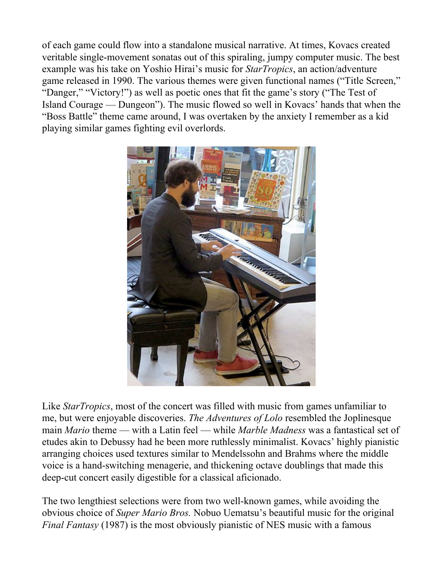of each game could flow into a standalone musical narrative. At times, Kovacs created veritable single-movement sonatas out of this spiraling, jumpy computer music. The best example was his take on Yoshio Hirai's music for *StarTropics*, an action/adventure game released in 1990. The various themes were given functional names ("Title Screen," "Danger," "Victory!") as well as poetic ones that fit the game's story ("The Test of Island Courage — Dungeon"). The music flowed so well in Kovacs' hands that when the "Boss Battle" theme came around, I was overtaken by the anxiety I remember as a kid playing similar games fighting evil overlords.



Like *StarTropics*, most of the concert was filled with music from games unfamiliar to me, but were enjoyable discoveries. *The Adventures of Lolo* resembled the Joplinesque main *Mario* theme — with a Latin feel — while *Marble Madness* was a fantastical set of etudes akin to Debussy had he been more ruthlessly minimalist. Kovacs' highly pianistic arranging choices used textures similar to Mendelssohn and Brahms where the middle voice is a hand-switching menagerie, and thickening octave doublings that made this deep-cut concert easily digestible for a classical aficionado.

The two lengthiest selections were from two well-known games, while avoiding the obvious choice of *Super Mario Bros.* Nobuo Uematsu's beautiful music for the original *Final Fantasy* (1987) is the most obviously pianistic of NES music with a famous